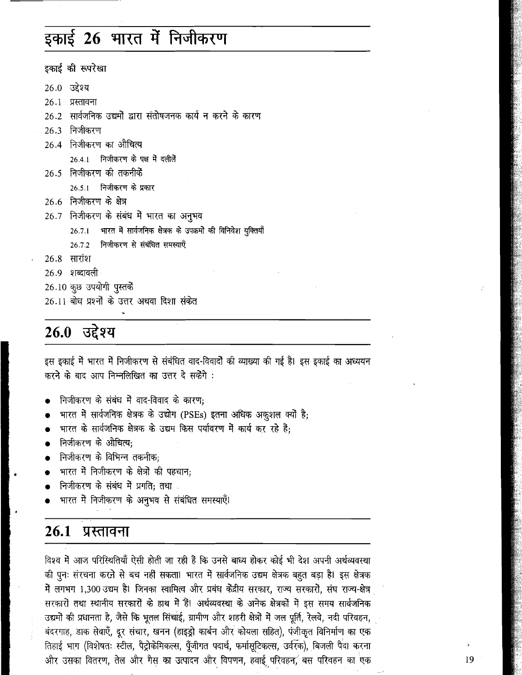## इकाई 26 भारत में निजीकरण

इकाई की रूपरेखा 26.0 उद्देश्य 26.1 प्रस्तावना 26.2 सार्वजनिक उद्यमों द्वारा संतोषजनक कार्य न करने के कारण 26.3 निजीकरण 26.4 निजीकरण का औचित्य 26.4.1 निजीकरण के पक्ष में दलीलें 26.5 निजीकरण की तकनीकें 26.5.1 निजीकरण के प्रकार 26.6 निजीकरण के क्षेत्र 26.7 निजीकरण के संबंध में भारत का अनुभव भारत में सार्वजनिक क्षेत्रक के उपक्रमों की विनिवेश युक्तियाँ  $26.7.1$ निजीकरण से संबंधित समस्याएँ  $26.7.2$ 26.8 सारांश 26.9 शब्दावली 26.10 कुछ उपयोगी पुस्तकें 26.11 बोध प्रश्नों के उत्तर अथवा दिशा संकेत

### 26.0 उद्देश्य

इस इकाई में भारत में निजीकरण से संबंधित वाद-विवादों की व्याख्या की गई है। इस इकाई का अध्ययन करने के बाद आप निम्नलिखित का उत्तर दे सकेंगे :

- निजीकरण के संबंध में वाद-विवाद के कारण;
- भारत में सार्वजनिक क्षेत्रक के उद्योग (PSEs) इतना अधिक अकुशल क्यों है;
- भारत के सार्वजनिक क्षेत्रक के उद्यम किस पर्यावरण में कार्य कर रहे है:
- निजीकरण के औचित्य:
- निजीकरण के विभिन्न तकनीक;
- भारत में निजीकरण के क्षेत्रों की पहचान:
- निजीकरण के संबंध में प्रगति; तथा
- भारत में निजीकरण के अनुभव से संबंधित समस्याएँ।

#### 26.1 प्रस्तावना

विश्व में आज परिस्थितियाँ ऐसी होती जा रही है कि उनसे बाध्य होकर कोई भी देश अपनी अर्थव्यवस्था की पुनः संरचना करने से बच नहीं सकता। भारत में सार्वजनिक उद्यम क्षेत्रक बहुत बड़ा है। इस क्षेत्रक में लगभग 1,300 उद्यम है। जिनका स्वामित्व और प्रबंध केंद्रीय सरकार, राज्य सरकारों, संघ राज्य-क्षेत्र सरकारों तथा स्थानीय सरकारों के हाथ में हैं। अर्थव्यवस्था के अनेक क्षेत्रकों में इस समय सार्वजनिक उद्यमों की प्रधानता है, जैसे कि भूतल सिंचाई, ग्रामीण और शहरी क्षेत्रों में जल पूर्ति, रेलवे, नदी परिवहन, बंदरगाह, डाक सेवाएँ, दूर संचार, खनन (हाइड्रो कार्बन और कोयला सहित), पंजीकृत विनिर्माण का एक तिहाई भाग (विशेषतः स्टील, पैट्रोकेमिकल्स, पूँजीगत पदार्थ, फर्मासूटिकल्स, उर्वरक), बिजली पैदा करना और उसका वितरण, तेल और गैस का उत्पादन और विपणन, हवाई परिवहन, बस परिवहन का एक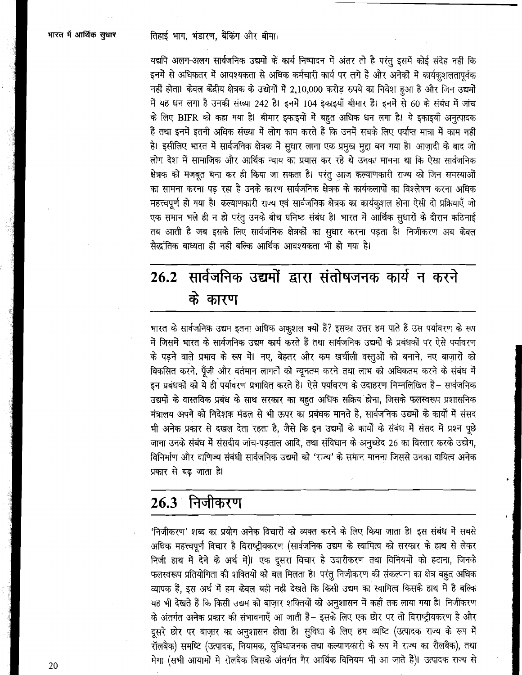यद्यपि अलग-अलग सार्वजनिक उद्यमों के कार्य निष्पादन में अंतर तो है परंतु इसमें कोई संदेह नहीं कि इनमें से अधिकतर में आवश्यकता से अधिक कर्मचारी कार्य पर लगे हैं और अनेकों में कार्यकृशलतापूर्वक नहीं होता। केवल केंद्रीय क्षेत्रक के उद्योगों में 2,10,000 करोड़ रुपये का निवेश हुआ है और जिन उद्यमों में यह धन लगा है उनकी संख्या 242 है। इनमें 104 इकाइयाँ बीमार हैं। इनमें से 60 के संबंध में जांच के लिए BIFR को कहा गया है। बीमार इकाइयों में बहुत अधिक धन लगा है। ये इकाइयाँ अनुत्पादक हैं तथा इनमें इतनी अधिक संख्या में लोग काम करते हैं कि उनमें सबके लिए पर्याप्त मात्रा में काम नहीं है। इसीलिए भारत में सार्वजनिक क्षेत्रक में सुधार लाना एक प्रमुख मुद्दा बन गया है। आज़ादी के बाद जो लोग देश में सामाजिक और आर्थिक न्याय का प्रयास कर रहे थे उनका मानना था कि ऐसा सार्वजनिक क्षेत्रक को मजबूत बना कर ही किया जा सकता है। परंतु आज कल्याणकारी राज्य को जिन समस्याओं का सामना करना पड रहा है उनके कारण सार्वजनिक क्षेत्रक के कार्यकलापों का विश्लेषण करना अधिक महत्त्वपूर्ण हो गया है। कल्याणकारी राज्य एवं सार्वजनिक क्षेत्रक का कार्यकुशल होना ऐसी दो प्रक्रियाएँ जो एक समान भले ही न हो परंतु उनके बीच घनिष्ठ संबंध है। भारत में आर्थिक सुधारों के दौरान कठिनाई तब आती है जब इसके लिए सार्वजनिक क्षेत्रकों का सुधार करना पड़ता है। निजीकरण अब केवल सैद्धांतिक बाध्यता ही नहीं बल्कि आर्थिक आवश्यकता भी हो गया है।

# 26.2 सार्वजनिक उद्यमों द्वारा संतोषजनक कार्य न करने के कारण

भारत के सार्वजनिक उद्यम इतना अधिक अक्शल क्यों है? इसका उत्तर हम पाते हैं उस पर्यावरण के रूप में जिसमें भारत के सार्वजनिक उद्यम कार्य करते हैं तथा सार्वजनिक उद्यमों के प्रबंधकों पर ऐसे पर्यावरण के पड़ने वाले प्रभाव के रूप में। नए, बेहतर और कम खर्चीली वस्तुओं को बनाने, नए बाज़ारों को विकसित करने, पूँजी और वर्तमान लागतों को न्यूनतम करने तथा लाभ को अधिकतम करने के संबंध में इन प्रबंधकों को ये ही पर्यावरण प्रभावित करते हैं। ऐसे पर्यावरण के उदाहरण निम्नलिखित हैं– सार्वजनिक उद्यमों के वास्तविक प्रबंध के साथ सरकार का बहुत अधिक सक्रिय होना, जिसके फलस्वरूप प्रशासनिक मंत्रालय अपने को निदेशक मंडल से भी ऊपर का प्रबंधक मानते है, सार्वजनिक उद्यमों के कार्यों में संसद भी अनेक प्रकार से दखल देता रहता है, जैसे कि इन उद्यमों के कार्यों के संबंध में संसद में प्रश्न पूछे जाना उनके संबंध में संसदीय जांच-पड़ताल आदि, तथा संविधान के अनुच्छेद 26 का विस्तार करके उद्योग, विनिर्माण और वाणिज्य संबंधी सार्वजनिक उद्यमों को 'राज्य' के समान मानना जिससे उनका दायित्व अनेक प्रकार से बढ जाता है।

#### निजीकरण  $26.3^{\circ}$

'निजीकरण' शब्द का प्रयोग अनेक विचारों को व्यक्त करने के लिए किया जाता है। इस संबंध में सबसे अधिक महत्त्वपूर्ण विचार है विराष्ट्रीयकरण (सार्वजनिक उद्यम के स्वामित्व को सरकार के हाथ से लेकर निजी हाथ में देने के अर्थ में)। एक दूसरा विचार है उदारीकरण तथा विनियमों को हटाना, जिनके फलस्वरूप प्रतियोगिता की शक्तियों को बल मिलता है। परंतु निजीकरण की संकल्पना का क्षेत्र बहुत अधिक व्यापक हैं, इस अर्थ में हम केवल यही नहीं देखते कि किसी उद्यम का स्वामित्व किसके हाथ में है बल्कि यह भी देखते हैं कि किसी उद्यम को बाज़ार शक्तियों को अनुशासन में कहाँ तक लाया गया है। निजींकरण के अंतर्गत अनेक प्रकार की संभावनाएँ आ जाती हैं– इसके लिए एक छोर पर तो विराष्ट्रीयकरण है और दूसरे छोर पर बाज़ार का अनुशासन होता है। सुविधा के लिए हम व्यष्टि (उत्पादक राज्य के रूप में रॉलबैक) समष्टि (उत्पादक, नियामक, सुविधाजनक तथा कल्याणकारी के रूप में राज्य का रौलबैक), तथा मेगा (सभी आयामों में रोलबैक जिसके अंतर्गत गैर आर्थिक विनियम भी आ जाते हैं)। उत्पादक राज्य से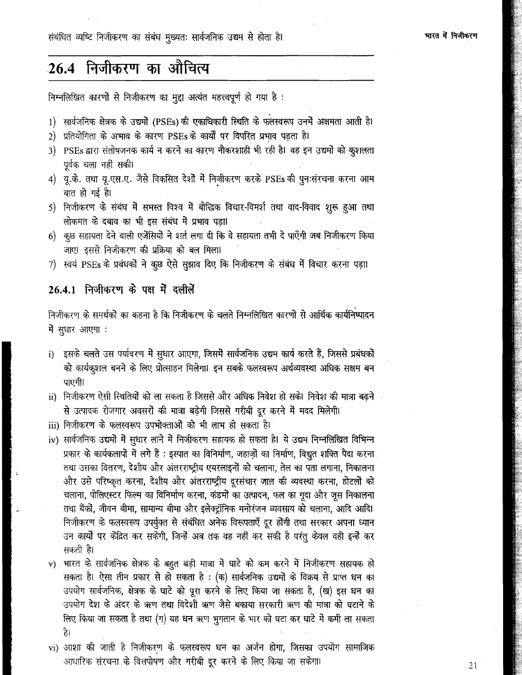संबंधित व्यष्टि निजीकरण का संबंध मुख्यतः सार्वजनिक उद्यम से होता है।

### 26.4 निजीकरण का औचित्य

निम्नलिखित कारणों से निजीकरण का मुद्दा अत्यंत महत्त्वपूर्ण हो गया है:

- 1) सार्वजनिक क्षेत्रक के उद्यमों (PSEs) की एकाधिकारी स्थिति के फलस्वरूप उनमें अक्षमता आती है।
- 2) प्रतियोगिता के अभाव के कारण PSEs के कार्यों पर विपरित प्रभाव पड़ता है।
- 3) PSEs द्वारा संतोषजनक कार्य न करने का कारण नौकरशाही भी रही है। वह इन उद्यमों को कुशलता पूर्वक चला नहीं सकी।
- 4) यू.के. तथा यू.एस.ए. जैसे विकसित देशों में निजीकरण करके PSEs की पुनःसंरचना करना आम बात हो गई है।
- 5) निजीकरण के संबंध में समस्त विश्व में बौद्धिक विचार-विमर्श तथा वाद-विवाद शुरू हुआ तथा लोकमत के दबाव का भी इस संबंध में प्रभाव पड़ा।
- 6) कुछ सहायता देने वाली एजेंसियों ने शर्त लगा दी कि वे सहायता तभी दे पाएँगी जब निजीकरण किया जाए। इससे निजीकरण की प्रक्रिया को बल मिला।
- 7) स्वयं PSEs के प्रबंधकों ने कुछ ऐसे सुझाव दिए कि निजीकरण के संबंध में विचार करना पड़ा।

#### 26.4.1 निजीकरण के पक्ष में दलीलें

निजीकरण के समर्थकों का कहना है कि निजीकरण के चलते निम्नलिखित कारणों से आर्थिक कार्यनिष्पादन में सुधार आएगा:

- i) इसके चलते उस पर्यावरण में सुधार आएगा, जिसमें सार्वजनिक उद्यम कार्य करते हैं, जिससे प्रबंधकों को कार्यकृशल बनने के लिए प्रोत्साहन मिलेगा। इन सबके फलस्वरूप अर्थव्यवस्था अधिक सक्षम बन पाएगी।
- ii) निजीकरण ऐसी स्थितियों को ला सकता है जिससे और अधिक निवेश हो सके। निवेश की मात्रा बढ़ने : से उत्पादक रोजगार अवसरों की मात्रा बढ़ेगी जिससे गरीबी दूर करने में मदद मिलेगी।
- iii) निजीकरण के फलस्वरूप उपभोक्ताओं को भी लाभ हो सकता है।
- iv) सार्वजनिक उद्यमों में सुधार लाने में निजीकरण सहायक हो सकता है। ये उद्यम निम्नलिखित विभिन्न प्रकार के कार्यकलापों में लगे हैं : इस्पात का विनिर्माण, जहाज़ों का निर्माण, विद्युत शक्ति पैदा करना तथा उसका वितरण, देशीय और अंतरराष्ट्रीय एयरलाइनों को चलाना, तेल का पता लगाना, निकालना और उसे परिष्कृत करना, देशीय और अंतरराष्ट्रीय दूरसंचार जाल की व्यवस्था करना, होटलों को चलाना, पोलिएस्टर फिल्म का विनिर्माण करना, कंडमोें का उत्पादन, फल का गूदा और जूस निकालना तथा बैंकों, जीवन बीमा, सामान्य बीमा और इलेक्ट्रॉनिक मनोरंजन व्यवसाय को चलाना, आदि आदि। निजीकरण के फलस्वरूप उपर्युक्त से संबंधित अनेक विरूपताएँ दूर होंगी तथा सरकार अपना ध्यान उन कार्यों पर केंद्रित कर संकेगी, जिन्हें अब तक वह नहीं कर सकी है परंतु केवल वही इन्हें कर सकती है।
- v) भारत के सार्वजनिक क्षेत्रक के बहुत बड़ी मात्रा में घाटे को कम करने में निजीकरण सहायक हो सकता है। ऐसा तीन प्रकार से हो सकता है : (क) सार्वजनिक उद्यमों के विक्रय से प्राप्त धन का उपयोग सार्वजनिक, क्षेत्रक के घाटे को पूरा करने के लिए किया जा सकता है, (ख) इस धन का उपयोग देश के अंदर के ऋण तथा विदेशी ऋण जैसे बकाया सरकारी ऋण की मात्रा को घटाने के लिए किया जा सकता है तथा (ग) यह धन ऋण भुगतान के भार को घटा कर घाटे में कमी ला सकता है।
- vi) आशा की जाती है निजीकरण के फलस्वरूप धन का अर्जन होगा, जिसका उपयोग सामाजिक आधारिक संरचना के वित्तपोषण और गरीबी दूर करने के लिए किया जा सकेगा।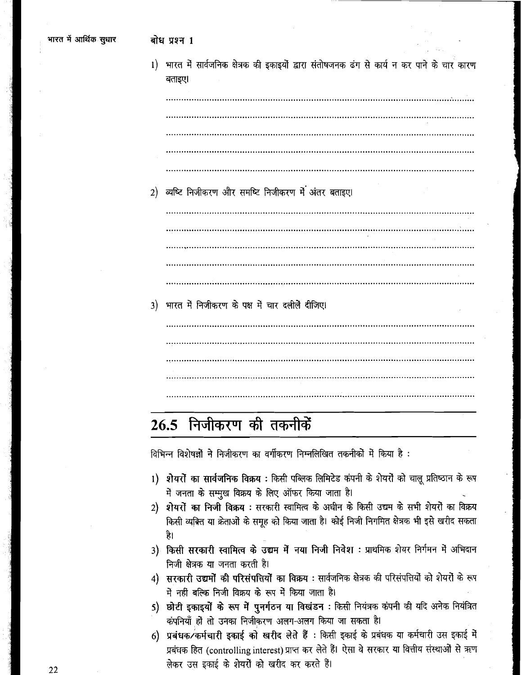| 1) | भारत में सार्वजनिक क्षेत्रक की इकाइयों द्वारा संतोषजनक ढंग से कार्य न कर पाने के चार कारण<br>बताइए। |
|----|-----------------------------------------------------------------------------------------------------|
|    |                                                                                                     |
|    |                                                                                                     |
|    |                                                                                                     |
|    |                                                                                                     |
|    |                                                                                                     |
| 2) | व्यष्टि निजीकरण और समष्टि निजीकरण में अंतर बताइए।                                                   |
|    |                                                                                                     |
|    |                                                                                                     |
|    |                                                                                                     |
|    |                                                                                                     |
|    |                                                                                                     |
| 3) | भारत में निजीकरण के पक्ष में चार दलीलें दीजिए।                                                      |
|    |                                                                                                     |
|    |                                                                                                     |
|    |                                                                                                     |
|    |                                                                                                     |
|    |                                                                                                     |

# 26.5 निजीकरण की तकनीकें

विभिन्न विशेषज्ञों ने निजीकरण का वर्गीकरण निम्नलिखित तकनीकों में किया है :

- 1) शेयरों का सार्वजनिक विक्रय: किसी पब्लिक लिमिटेड कंपनी के शेयरों को चालू प्रतिष्ठान के रूप में जनता के सम्मुख विक्रय के लिए ऑफर किया जाता है।
- 2) शेयरों का निजी विक्रय : सरकारी स्वामित्व के अधीन के किसी उद्यम के सभी शेयरों का विक्रय किसी व्यक्ति या क्रेताओं के समूह को किया जाता है। कोई निजी निगमित क्षेत्रक भी इसे खरीद सकता है।
- 3) किसी सरकारी स्वामित्व के उद्यम में नया निजी निवेश: प्राथमिक शेयर निर्गमन में अभिदान निजी क्षेत्रक या जनता करती है।
- 4) सरकारी उद्यमों की परिसंपत्तियों का विक्रय : सार्वजनिक क्षेत्रक की परिसंपत्तियों को शेयरों के रूप में नहीं बल्कि निजी विक्रय के रूप में किया जाता है।
- 5) छोटी इकाइयों के रूप में पुनर्गठन या विखंडन: किसी नियंत्रक कंपनी की यदि अनेक नियंत्रित कंपनियाँ हो तो उनका निजीकरण अलग-अलग किया जा सकता है।
- 6) प्रबंधक/कर्मचारी इकाई को खरीद लेते हैं : किसी इकाई के प्रबंधक या कर्मचारी उस इकाई में प्रबंधक हित (controlling interest) प्राप्त कर लेते हैं। ऐसा वे सरकार या वित्तीय संस्थाओं से ऋण लेकर उस इकाई के शेयरों को खरीद कर करते हैं।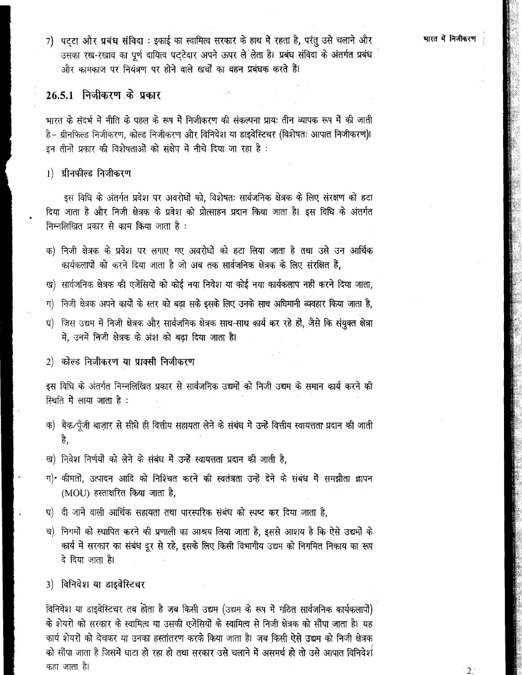7) पट्टा और प्रबंध संविदा : इकाई का स्वामित्व सरकार के हाथ में रहता है, परंतु उसे चलाने और उसका रख-रखाव का पूर्ण दायित्व पट्टेदार अपने ऊपर ले लेता है। प्रबंध संविदा के अंतर्गत प्रबंध और कामकाज पर नियंत्रण पर होने वाले खर्चों का वहन प्रबंधक करते हैं।

### 26.5.1 निजीकरण के प्रकार

भारत के संदर्भ में नीति के पहल के रूप में निजीकरण की संकल्पना प्राय: तीन व्यापक रूप में की जाती है- ग्रीनफिल्ड निजीकरण, कोल्ड निजीकरण और विनिवेश या डाइवेस्टिचर (विशेषतः आपात निजीकरण)! इन तीनों प्रकार की विशेषताओं को संक्षेप में नीचे दिया जा रहा है :

1) ग्रीनफील्ड निजीकरण

इस विधि के अंतर्गत प्रवेश पर अवरोधों को, विशेषतः सार्वजनिक क्षेत्रक के लिए संरक्षण को हटा दिया जाता है और निजी क्षेत्रक के प्रवेश को प्रोत्साहन प्रदान किया जाता है। इस विधि के अंतर्गत निम्नलिखित प्रकार से काम किया जाता है :

- क) निजी क्षेत्रक के प्रवेश पर लगाए गए अवरोधों को हटा लिया जाता है तथा उसे उन आर्थिक कार्यकलापों को करने दिया जाता है जो अब तक सार्वजनिक क्षेत्रक के लिए संरक्षित है,
- ख) सार्वजनिक क्षेत्रक की एजेंसियों को कोई नया निवेश या कोई नया कार्यकलाप नहीं करने दिया जाता,
- ग) निजी क्षेत्रक अपने कार्यों के स्तर को बढा सके इसके लिए उनके साथ अधिमानी व्यवहार किया जाता है.
- जिस उद्यम में निजी क्षेत्रक और सार्वजनिक क्षेत्रक साथ-साथ कार्य कर रहे हों, जैसे कि संयुक्त क्षेत्रा  $q)$ में, उनमें निजी क्षेत्रक के अंश को बढा दिया जाता है।

2) कोल्ड निजीकरण या प्राक्सी निजीकरण

इस विधि के अंतर्गत निम्नलिखित प्रकार से सार्वजनिक उद्यमों को निजी उद्यम के समान कार्य करने की स्थिति में लाया जाता है:

- क) बैंक/पूँजी बाज़ार से सीधे ही वित्तीय सहायता लेने के संबंध में उन्हें वित्तीय स्वायत्तता प्रदान की जाती हे.
- ख) निवेश निर्णयों को लेने के संबंध में उन्हें स्वायत्तता प्रदान की जाती है,
- ग)• कीमतों, उत्पादन आदि को निश्चित करने की स्वतंत्रता उन्हें देने के संबंध में समझौता ज्ञापन (MOU) हस्ताक्षरित किया जाता है.
- घ) दी जाने वाली आर्थिक सहायता तथा पारस्परिक संबंध को स्पष्ट कर दिया जाता है.
- च) निगमों को स्थापित करने की प्रणाली का आश्रय लिया जाता है, इससे आशय है कि ऐसे उद्यमों के कार्य में सरकार का संबंध दूर से रहे, इसके लिए किसी विभागीय उद्यम को निगमित निकाय का रूप दे दिया जाता है।

#### 3) विनिवेश या डाइवेस्टिचर

विनिवेश या डाइवेस्टिचर तब होता है जब किसी उद्यम (उद्यम के रूप में गठित सार्वजनिक कार्यकलापों) के शेयरों को सरकार के स्वामित्व या उसकी एजेंसियों के स्वामित्व से निजी क्षेत्रक को सौंपा जाता है। यह कार्य शेयरों को वेचकर या उनका हस्तांतरण करके किया जाता है। जब किसी ऐसे उद्यम को निजी क्षेत्रक को सौंपा जाता है जिसमें घाटा हो रहा हो तथा सरकार उसे चलाने में असमर्थ हो तो उसे आपात विनिवेश कहा जाता है।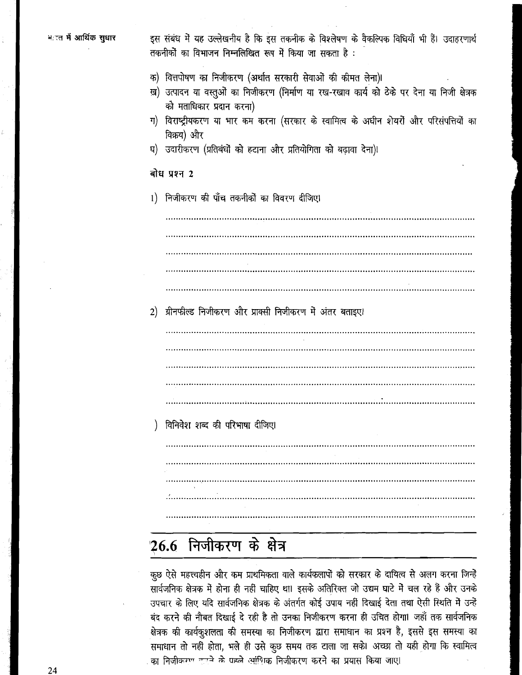इस संबंध में यह उल्लेखनीय है कि इस तकनीक के विश्लेषण के वैकल्पिक विधियाँ भी हैं। उदाहरणार्थ तकनीकों का विभाजन निम्नलिखित रूप में किया जा सकता है :

- क) वित्तपोषण का निजीकरण (अर्थात सरकारी सेवाओं की कीमत लेना)।
- ख़) उत्पादन या वस्तुओं का निजीकरण (निर्माण या रख-रखाव कार्य को ठेके पर देना या निजी क्षेत्रक को मताधिकार प्रदान करना)
- ग) विराष्ट्रीयकरण या भार कम करना (सरकार के स्वामित्व के अधीन शेयरों और परिसंपत्तियों का विक्रय) और
- घ) उदारीकरण (प्रतिबंधों को हटाना और प्रतियोगिता को बढ़ावा देना)।

#### बोध प्रश्न 2

1) निजीकरण की पाँच तकनीकों का विवरण दीजिए।

2) ग्रीनफील्ड निजीकरण और प्राक्सी निजीकरण में अंतर बताइए।

विनिवेश शब्द की परिभाषा दीजिए।

# 26.6 निजीकरण के क्षेत्र

कुछ ऐसे महत्त्वहीन और कम प्राथमिकता वाले कार्यकलापों को सरकार के दायित्व से अलग करना जिन्हें सार्वजनिक क्षेत्रक में होना ही नहीं चाहिए था। इसके अतिरिक्त जो उद्यम घाटे में चल रहे हैं और उनके उपचार के लिए यदि सार्वजनिक क्षेत्रक के अंतर्गत कोई उपाय नहीं दिखाई देता तथा ऐसी स्थिति में उन्हें बंद करने की नौबत दिखाई दे रही है तो उनका निजीकरण करना ही उचित होगा। जहाँ तक सार्वजनिक क्षेत्रक की कार्यकुशलता की समस्या का निजीकरण द्वारा समाधान का प्रश्न है, इससे इस समस्या का समाधान तो नहीं होता, भले ही उसे कुछ समय तक टाला जा सके। अच्छा तो यही होगा कि स्वामित्व का निजीकरण दाउने के पहले आंशिक निजीकरण करने का प्रयास किया जाए।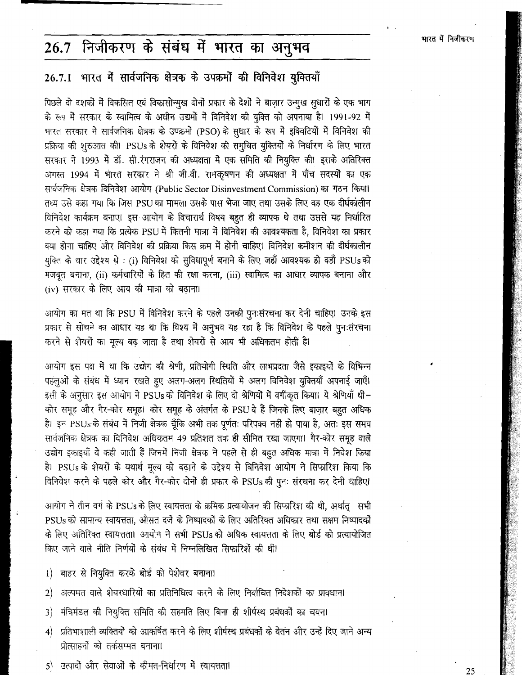## 26.7 निजीकरण के संबंध में भारत का अनुभव

### 26.7.1 भारत में सार्वजनिक क्षेत्रक के उपक्रमों की विनिवेश युक्तियाँ

पिछले दो दशकों में विकसित एवं विकासोन्मुख दोनों प्रकार के देशों ने बाज़ार उन्मुख सुधारों के एक भाग के रूप में सरकार के स्वामित्व के अधीन उद्यमों में विनिवेश की युक्ति को अपनाया है। 1991-92 में भारत सरकार ने सार्वजनिक क्षेत्रक के उपक्रमों (PSO) के सुधार के रूप में इक्विटियों में विनिवेश की प्रक्रिया की शुरुआत की। PSUs के शेयरों के विनिवेश की समुचित युक्तियों के निर्धारण के लिए भारत सरकार ने 1993 में डॉ. सी.रंगराजन की अध्यक्षता में एक समिति की नियुक्ति की। इसके अतिरिक्त अगस्त 1994 में भारत सरकार ने श्री जी.वी. रामकृषणन की अध्यक्षता में पाँच सदस्यों का एक सार्वजनिक क्षेत्रक विनिवेश आयोग (Public Sector Disinvestment Commission) का गठन किया। तथ्य उसे कहा गया कि जिस PSU का मामला उसके पास भेजा जाए तथा उसके लिए वह एक दीर्घकांलीन विनिवेश कार्यक्रम बनाए। इस आयोग के विचारार्थ विषय बहुत ही व्यापक थे तथा उससे यह निर्धारित करने को कहा गया कि प्रत्येक PSU में कितनी मात्रा में विनिवेश की आवश्यकता है, विनिवेश का प्रकार क्या होना चाहिए और विनिवेश की प्रक्रिया किस क्रम में होनी चाहिए। विनिवेश कमीशन की दीर्घकालीन युक्ति के चार उद्देश्य थे : (i) विनिवेश को सुविधापूर्ण बनाने के लिए जहाँ आवश्यक हो वहाँ PSUs को मजबूत बनाना, (ii) कर्मचारियों के हित की रक्षा करना, (iii) स्वामित्व का आधार व्यापक बनाना और (iv) सरकार के लिए आय की मात्रा को बढाना।

आयोग का मत था कि PSU में विनिवेश करने के पहले उनकी पुनःसंरचना कर देनी चाहिए। उनके इस प्रकार से सोचने का आधार यह था कि विश्व में अनुभव यह रहा है कि विनिवेश के पहले पुनःसंरचना करने से शेयरों का मूल्य बढ़ जाता है तथा शेयरों से आय भी अधिकतम होती है।

आयोग इस पक्ष में था कि उद्योग की श्रेणी, प्रतियोगी स्थिति और लाभप्रदता जैसे इकाइयों के विभिन्न पहलुओं के संबंध में ध्यान रखते हुए अलग-अलग स्थितियों में अलग विनिवेश युक्तियाँ अपनाई जाएँ। इसी के अनुसार इस आयोग ने PSUs को विनिवेश के लिए दो श्रेणियों में वर्गीकृत किया। ये श्रेणियाँ थी-कोर समूह और गैर-कोर समूह। कोर समूह के अंतर्गत के PSU वे हैं जिनके लिए बाज़ार बहुत अधिक है। इन PSUs के संबंध में निजी क्षेत्रक चूँकि अभी तक पूर्णतः परिपक्व नहीं हो पाया है, अतः इस समय सार्वजनिक क्षेत्रक का विनिवेश अधिकतम 49 प्रतिशत तक ही सीमित रखा जाएगा। गैर-कोर समूह वाले उद्योग इकाइयाँ वे कही जाती हैं जिनमें निजी क्षेत्रक ने पहले से ही बहुत अधिक मात्रा में निवेश किया है। PSUs के शेयरों के यथार्थ मूल्य को बढ़ाने के उद्देश्य से बिनिवेश आयोग ने सिफारिश किया कि विनिवेश करने के पहले कोर और गैर-कोर दोनों ही प्रकार के PSUs की पुनः संरचना कर देनी चाहिए।

आयोग ने तीन वर्ग के PSUs के लिए स्वायत्तता के क्रमिक प्रत्यायोजन की सिफारिश की थी, अर्थातु सभी PSUs को सामान्य स्वायत्तता, औसत दर्जे के निष्पादकों के लिए अतिरिक्त अधिकार तथा सक्षम निष्पादकों के लिए अतिरिक्त स्वायत्तता। आयोग ने सभी PSUs को अधिक स्वायत्तता के लिए बोर्ड को प्रत्यायोजित किए जाने वाले नीति निर्णयों के संबंध में निम्नलिखित सिफारिशें की थीं।

- 1) बाहर से नियुक्ति करके बोर्ड को पेशेवर बनाना।
- 2) अल्पमत वाले शेयरधारियों का प्रतिनिधित्व करने के लिए निर्वाचित निदेशकों का प्रावधान।
- 3) मंत्रिमंडल की नियुक्ति समिति की सहमति लिए बिना ही शीर्षस्थ प्रबंधकों का चयन।
- 4) प्रतिभाशाली व्यक्तियों को आकर्षित करने के लिए शीर्षस्थ प्रबंधकों के वेतन और उन्हें दिए जाने अन्य प्रोत्साहनों को तर्कसम्मत बनाना।
- 5) उत्पादों और सेवाओं के कीमत-निर्धारण में स्वायत्तता।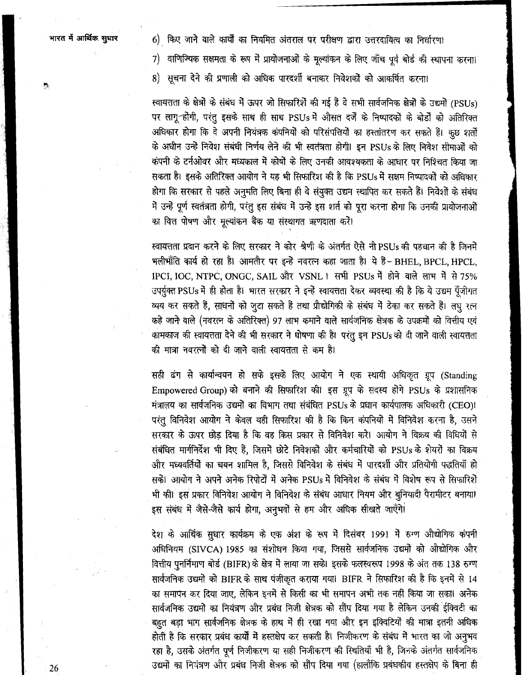$\mathbf{r}_\mathrm{c}$ 

6) किए जाने वाले कार्यों का नियमित अंतराल पर परीक्षण द्वारा उत्तरदायित्व का निर्धारण।

7) वाणिज्यिक सक्षमता के रूप में प्रायोजनाओं के मूल्यांकन के लिए जाँच पूर्व बोर्ड की स्थापना करना।

8) सूचना देने की प्रणाली को अधिक पारदर्शी बनाकर निवेशकों को आकर्षित करना।

स्वायत्तता के क्षेत्रों के संबंध में ऊपर जो सिफारिशें की गई हैं वे सभी सार्वजनिक क्षेत्रों के उद्यमों (PSUs) पर लागू होंगी, परंतु इसके साथ ही साथ PSUs में औसत दर्जें के निष्पादकों के बोर्डों को अतिरिक्त अधिकार होगा कि वे अपनी नियंत्रक कंपनियों को परिसंपत्तियों का हस्तांतरण कर सकते हैं। कुछ शर्तों के अधीन उन्हें निवेश संबंधी निर्णय लेने की भी स्वतंत्रता होगी। इन PSUs के लिए निवेश सीमाओं को कंपनी के टर्नओवर और मध्यकाल में कोषों के लिए उनकी आवश्यकता के आधार पर निश्चित किया जा सकता है। इसके अतिरिक्त आयोग ने यह भी सिफारिश की है कि PSUs में सक्षम निष्पादकों को अधिकार होगा कि सरकार से पहले अनुमति लिए बिना ही वे संयुक्त उद्यम स्थापित कर सकते हैं। निवेशों के संबंध में उन्हें पूर्ण स्वतंत्रता होगी, परंतु इस संबंध में उन्हें इस शर्त को पूरा करना होगा कि उनकी प्रायोजनाओं का वित्त पोषण और मूल्यांकन बैंक या संस्थागत ऋणदाता करें।

स्वायत्तता प्रदान करने के लिए सरकार ने कोर श्रेणी के अंतर्गत ऐसे नौ PSUs की पहचान की है जिनमें भलीभाँति कार्य हो रहा है। आमतौर पर इन्हें नवरत्न कहा जाता है। ये हैं-BHEL, BPCL, HPCL, IPCI, IOC, NTPC, ONGC, SAIL और VSNL । सभी PSUs में होने वाले लाभ में से 75% उपर्युक्त PSUs में ही होता है। भारत सरकार ने इन्हें स्वायत्तता देकर व्यवस्था की है कि ये उद्यम पूँजीगत **iww&8,W4~~%~a~lrWtmifit~&%~i qn**  कहे जा<del>ने</del> वाले (नवरत्न के अतिरिक्त) 97 लाभ कमाने वाले सार्वजनिक क्षेत्रक के उपक्रमों को वित्तीय एवं कामकाज की स्वायत्तता देने की भी सरकार ने घोषणा की है। परंतु इन PSUs को दी जाने वाली स्वायत्तता की मात्रा नवरत्नों को दी जाने वाली स्वायत्तता से कम है।

सही ढंग से कार्यान्वयन हो सके इसके लिए आयोग ने एक स्थायी अधिकृत ग्रूप (Standing Empowered Group) को बनाने की सिफारिश की। इस ग्रुप के सदस्य होंगे PSUs के प्रशासनिक मंत्रालय का सार्वजनिक उद्यमों का विभाग तथा संबंधित PSUs के प्रधान कार्यपालक अधिकारी (CEO)। परंतु विनिवेश आयोग ने केवल यही सिफारिश की है कि किन कंपनियों में विनिवेश करना है, उसने सरकार के ऊपर छोड़ दिया है कि वह किस प्रकार से विनिवेश करे। आयोग ने विक्रय की विधियों से संबंधित मार्गनिर्देश भी दिए हैं, जिसमें छोटे निवेशकों और कर्मचारियों को PSUs के शेयरों का विक्रय और मध्यवर्तियों का चयन शामिल है, जिससे विनिवेश के संबंध में पारदर्शी और प्रतियोगी पद्धतियाँ हो सकें। आयोग ने अपने अनेक रिपोर्टों में अनेक PSUs में विनिवेश के संबंध में विशेष रूप से सिफारिशें भी की। इस प्रकार विनिवेश आयोग ने विनिवेश के संबंध आधार नियम और बुनियादी पैरामीटर बनाया। इस संबंध में जैसे-जैसे कार्य होगा, अनुभवों से हम और अधिक सीखते जाएँगे।

देश के आर्थिक सुधार कार्यक्रम के एक अंश के रूप में दिसंबर 1991 में रुग्ण औद्योगिक कंपनी अधिनियम (SIVCA) 1985 का संशोधन किया गया, जिससे सार्वजनिक उद्यमों को औद्योगिक और वित्तीय पुनर्निमाण बोर्ड (BIFR) के क्षेत्र में लाया जा सके। इसके फलस्वरूप 1998 के अंत तक 138 रुग्ण सार्वजनिक उद्यमों को BIFR के साथ पंजीकृत कराया गया। BIFR ने सिफारिश की है कि इनमें से 14 का समापन कर दिया जाए, लेकिन इनमें से किसी का भी समापन अभी तक नहीं किया जा सका। अनेक सार्वजमिक उद्यमों का नियंत्रण और प्रबंध निजी क्षेत्रक को सौंप दिया गया है लेकिन उनकी ईक्विटी का बहुत बड़ा भाग सार्वजनिक क्षेत्रक के हाथ में ही रखा गया और इन इक्विटियों की मात्रा इतनी अधिक होती है कि सरकार प्रबंध कार्यों में हस्तक्षेप कर सकती है। निजीकरण के संबंध में भारत का जो अनुभव रहा है, उसके अंतर्गत पूर्ण निजीकरण या सही निजीकरण की स्थितियाँ भी है, जिनके अंतर्गत सार्वजनिक 26 **Maxwale 26 26 Maxwale 2010 was a controlled with space of the State of Taiwan and Taiwan and Taiwan and Tai**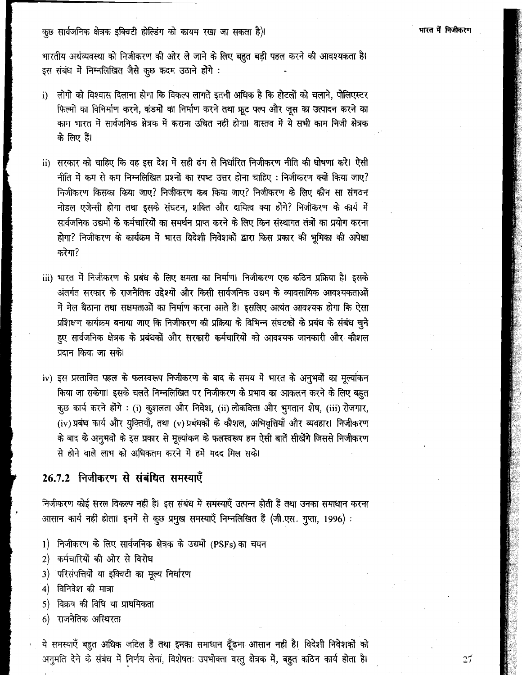कुछ सार्वजनिक क्षेत्रक इक्विटी होल्डिंग को कायम रखा जा सकता है)।

भारतीय अर्थव्यवस्था को निजीकरण की ओर ले जाने के लिए बहुत बड़ी पहल करने की आवश्यकता है। इस संबंध में निम्नलिखित जैसे कृष्ठ कदम उठाने होंगे :

- लोगों को विश्वास दिलाना होगा कि विकल्प लागतें इतनी अधिक है कि होटलों को चलाने, पोलिएस्टर  $i)$ फिल्मों का विनिर्माण करने, कंडमों का निर्माण करने तथा फ्रूट पल्प और जूस का उत्पादन करने का काम भारत में सार्वजनिक क्षेत्रक में कराना उचित नहीं होगा। वास्तव में ये सभी काम निजी क्षेत्रक के लिए हैं।
- ii) सरकार को चाहिए कि वह इस देश में सही ढंग से निर्धारित निजीकरण नीति की घोषणा करे। ऐसी नीति में कम से कम निम्नलिखित प्रश्नों का स्पष्ट उत्तर होना चाहिए : निजीकरण क्यों किया जाए? निजीकरण किसका किया जाए? निजीकरण कब किया जाए? निजीकरण के लिए कौन सा संगठन नोडल एजेन्सी होगा तथा इसके संघटन, शक्ति और दायित्व क्या होंगे? निजीकरण के कार्य में सार्वजनिक उद्यमों के कर्मचारियों का समर्थन प्राप्त करने के लिए किन संस्थागत तंत्रों का प्रयोग करना होगा? निजीकरण के कार्यक्रम में भारत विदेशी निवेशकों द्वारा किस प्रकार की भूमिका की अपेक्षा करेगा?
- iii) भारत में निजीकरण के प्रबंध के लिए क्षमता का निर्माण। निजीकरण एक कठिन प्रक्रिया है। इसके अंतर्गत सरकार के राजनैतिक उद्देश्यों और किसी सार्वजनिक उद्यम के व्यावसायिक आवश्यकताओं में मेल बैठाना तथा सक्षमताओं का निर्माण करना आते हैं। इसलिए अत्यंत आवश्यक होगा कि ऐसा प्रशिक्षण कार्यक्रम बनाया जाए कि निजीकरण की प्रक्रिया के विभिन्न संघटकों के प्रबंध के संबंध चुने हुए सार्वजनिक क्षेत्रक के प्रबंधकों और सरकारी कर्मचारियों को आवश्यक जानकारी और कौशल प्रदान किया जा सके।
- iv) इस प्रस्तावित पहल के फलस्वरूप निजीकरण के बाद के समय में भारत के अनुभवों का मूर्ल्याकन किया जा सकेगा। इसके चलते निम्नलिखित पर निजीकरण के प्रभाव का आकलन करने के लिए बहुत कुछ कार्य करने होंगे : (i) कुशलता और निवेश, (ii) लोकवित्ता और भुगतान शेष, (iii) रोजगार, (iv) प्रबंध कार्य और युक्तियाँ, तथा (v) प्रबंधकों के कौशल, अभिवृत्तियाँ और व्यवहार। निजीकरण के बाद के अनुभवों के इस प्रकार से मूल्यांकन के फलस्वरूप हम ऐसी बातें सीखेंगे जिससे निजीकरण से होने वाले लाभ को अधिकतम करने में हमें मदद मिल सके।

#### 26.7.2 निजीकरण से संबंधित समस्याएँ

निजीकरण कोई सरल विकल्प नहीं है। इस संबंध में समस्याएँ उत्पन्न होती हैं तथा उनका समाधान करना आसान कार्य नहीं होता। इनमें से कुछ प्रमुख समस्याएँ निम्नलिखित हैं (जी.एस. गुप्ता, 1996):

- 1) निजीकरण के लिए सार्वजनिक क्षेत्रक के उद्यमों (PSFs) का चयन
- 2) कर्मचारियों की ओर से विरोध
- 3) परिसंपत्तियों या इक्विटी का मूल्य निर्धारण
- 4) विनिवेश की मात्रा
- 5) विक्रय की विधि या प्राथमिकता
- 6) राजनैतिक अस्थिरता

ये समस्याएँ बहुत अधिक जटिल हैं तथा इनका समाधान ढूँढना आसान नहीं है। विदेशी निवेशकों को अनुमति देने के संबंध में निर्णय लेना, विशेषतः उपभोक्ता वस्तु क्षेत्रक में, बहुत कठिन कार्य होता है।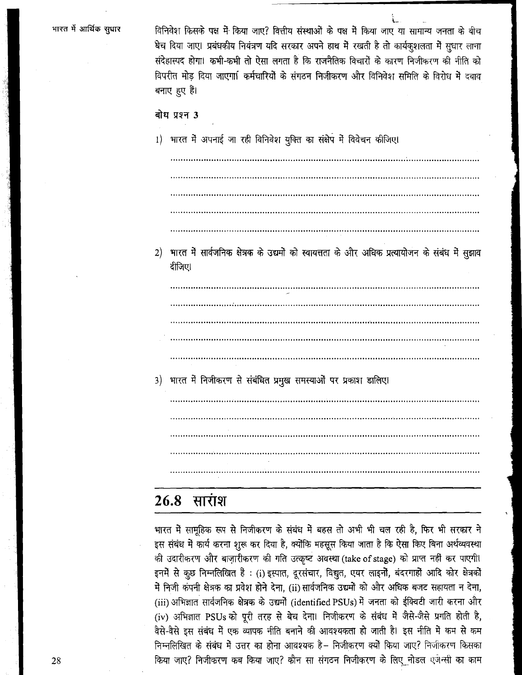विनिवेश किसके पक्ष में किया जाए? वित्तीय संस्थाओं के पक्ष में किया जाए या सामान्य जनता के बीच षेच दिया जाए। प्रबंधकीय नियंत्रण यदि सरकार अपने हाथ में रखती है तो कार्यकुशलता में सुधार लाना संदेहास्पद होगा। कभी-कभी तो ऐसा लगता है कि राजनैतिक विचारों के कारण निजीकरण की नीति को विपरीत मोड दिया जाएगा। कर्मचारियों के संगठन निजीकरण और विनिवेश समिति के विरोध में दबाव बनाए हए हैं।

### बोध प्रश्न 3

- 1) भारत में अपनाई जा रही विनिवेश युक्ति का संक्षेप में विवेचन कीजिए।
- 2) भारत में सार्वजनिक क्षेत्रक के उद्यमों को स्वायत्तता के और अधिक प्रत्यायोजन के संबंध में सुझाव दीजिए।

3) भारत में निजीकरण से संबंधित प्रमुख समस्याओं पर प्रकाश डालिए।

### 26.8 सार<del>ी</del>श

भारत में सामूहिक रूप से निजीकरण के संबंध में बहस तो अभी भी चल रही है, फिर भी सरकार ने इस संबंध में कार्य करना शुरू कर दिया है, क्योंकि महसूस किया जाता है कि ऐसा किए बिना अर्थव्यवस्था की उदारीकरण और बाज़ारीकरण की गति उत्कृष्ट अवस्था (take of stage) को प्राप्त नहीं कर पाएगी। इनमें से कुछ निम्नलिखित हैं : (i) इस्पात, दूरसंचार, विद्युत, एयर लाइनों, बंदरगाहों आदि कोर क्षेत्रकों में निजी कंपनी क्षेत्रक का प्रवेश होने देना, (ii) सार्वजनिक उद्यमों को और अधिक बजट सहायता न देना, (iii) अभिज्ञात सार्वजनिक क्षेत्रक के उद्यमों (identified PSUs) में जनता को ईक्विटी जारी करना और (iv) अभिज्ञात PSUs को पूरी तरह से बेच देना। निजीकरण के संबंध में जैसे-जैसे प्रगति होती है, वैसे-वैसे इस संबंध में एक व्यापक नीति बनाने की आवश्यकता हो जाती है। इस नीति में कम से कम निम्नलिखित के संबंध में उत्तर का होना आवश्यक है– निजीकरण क्यों किया जाए? निजीकरण किसका किया जाए? निजीकरण कब किया जाए? कौन सा संगठन निजीकरण के लिए नोडल एजेन्सी का काम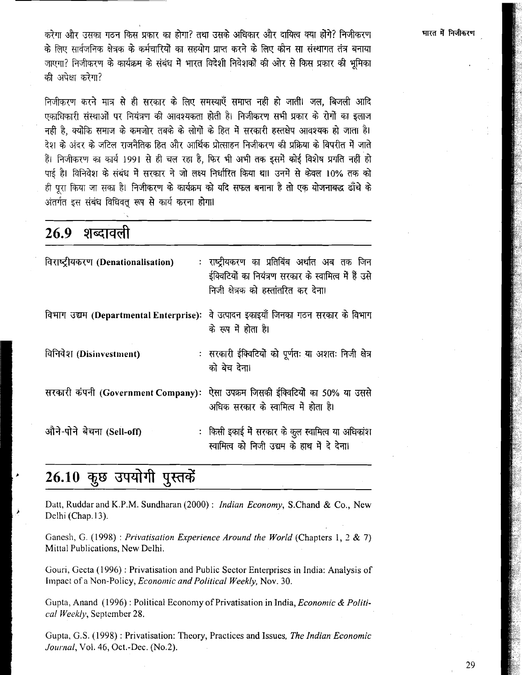करेगा और उसका गठन किस प्रकार का होगा? तथा उसके अधिकार और दायित्व क्या होंगे? निजीकरण के लिए सार्वजनिक क्षेत्रक के कर्मचारियों का सहयोग प्राप्त करने के लिए कौन सा संस्थागत तंत्र बनाया जाएगा? निजीकरण के कार्यक्रम के संबंध में भारत विदेशी निवेशकों की ओर से किस प्रकार की भूमिका की अपेक्षा करेगा?

निजीकरण करने मात्र से ही सरकार के लिए समस्याएँ समाप्त नहीं हो जातीं। जल, बिजली आदि एकाधिकारी संस्थाओं पर नियंत्रण की आवश्यकता होती है। निजीकरण सभी प्रकार के रोगों का इलाज नहीं है. क्योंकि समाज के कमजोर तबके के लोगों के हित में सरकारी हस्तक्षेप आवश्यक हो जाता है। देश के अंदर के जटिल राजनैतिक हित और आर्थिक प्रोत्साहन निजीकरण की प्रक्रिया के विपरीत में जाते हैं। निजीकरण का कार्य 1991 से ही चल रहा है. फिर भी अभी तक इसमें कोई विशेष प्रगति नहीं हो पाई है। विनिवेश के संबंध में सरकार ने जो लक्ष्य निर्धारित किया था। उनमें से केवल 10% तक को ही पूरा किया जा सका है। निजीकरण के कार्यक्रम को यदि सफल बनाना है तो एक योजनाबद्ध ढाँचे के अंतर्गत इस संबंध विधिवत रूप से कार्य करना होगा।

| $20.7 - 5$                         |                                                                                                                                               |  |  |
|------------------------------------|-----------------------------------------------------------------------------------------------------------------------------------------------|--|--|
| विराष्ट्रीयकरण (Denationalisation) | : राष्ट्रीयकरण का प्रतिबिंब अर्थात अब तक जिन<br>ईक्विटियों का नियंत्रण सरकार के स्वामित्व में हैं उसे<br>निजी क्षेत्रक को हस्तांतरित कर देना। |  |  |
|                                    | विभाग उद्यम (Departmental Enterprise): वे उत्पादन इकाइयाँ जिनका गठन सरकार के विभाग<br>के रूप में होता है।                                     |  |  |
| विनिवेश (Disinvestment)            | : सरकारी ईक्विटियों को पूर्णतः या अशतः निजी क्षेत्र<br>को बेच देना।                                                                           |  |  |
|                                    | सरकारी कंपनी (Government Company): ऐसा उपक्रम जिसकी ईक्विटियों का 50% या उससे<br>अधिक सरकार के स्वामित्व में होता है।                         |  |  |
| औने-पोने बेचना (Sell-off)          | :  किसी इकाई में सरकार के कुल स्वामित्व या अधिकांश<br>स्वामित्व को निजी उद्यम के हाथ में दे देना।                                             |  |  |

### 26.10 कुछ उपयोगी पुस्तकें

<u> शन्तातली</u>

ንፉ ሰ

Datt, Ruddar and K.P.M. Sundharan (2000) : Indian Economy, S.Chand & Co., New Delhi (Chap.13).

Ganesh, G. (1998) : Privatisation Experience Around the World (Chapters 1, 2 & 7) Mittal Publications, New Delhi.

Gouri, Gecta (1996) : Privatisation and Public Sector Enterprises in India: Analysis of Impact of a Non-Policy, Economic and Political Weekly, Nov. 30.

Gupta, Anand (1996): Political Economy of Privatisation in India, *Economic & Politi*cal Weekly, September 28.

Gupta, G.S. (1998) : Privatisation: Theory, Practices and Issues, The Indian Economic Journal, Vol. 46, Oct.-Dec. (No.2).

#### भारत में निजीकरण